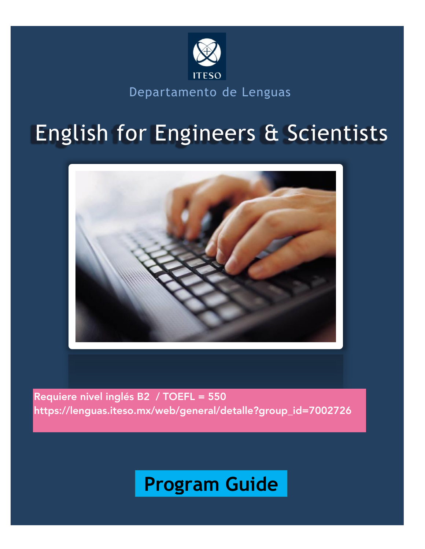

Departamento de Lenguas

# English for Engineers & Scientists



Requiere nivel inglés B2 / TOEFL = 550 https://lenguas.iteso.mx/web/general/detalle?group\_id=7002726

# Program Guide **Program Guide**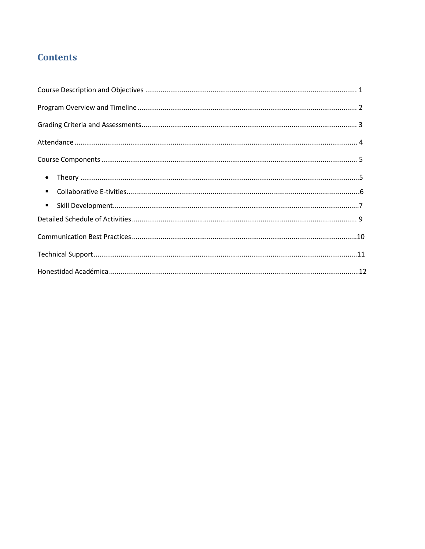# **Contents**

| $\bullet$      |  |
|----------------|--|
| $\blacksquare$ |  |
| $\blacksquare$ |  |
|                |  |
|                |  |
|                |  |
|                |  |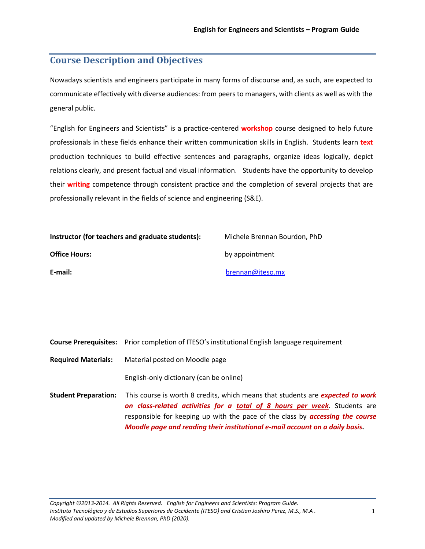## **Course Description and Objectives**

Nowadays scientists and engineers participate in many forms of discourse and, as such, are expected to communicate effectively with diverse audiences: from peers to managers, with clients as well as with the general public.

"English for Engineers and Scientists" is a practice-centered **workshop** course designed to help future professionals in these fields enhance their written communication skills in English. Students learn **text**  production techniques to build effective sentences and paragraphs, organize ideas logically, depict relations clearly, and present factual and visual information. Students have the opportunity to develop their **writing** competence through consistent practice and the completion of several projects that are professionally relevant in the fields of science and engineering (S&E).

| Instructor (for teachers and graduate students): | Michele Brennan Bourdon, PhD |  |  |  |  |  |
|--------------------------------------------------|------------------------------|--|--|--|--|--|
| <b>Office Hours:</b>                             | by appointment               |  |  |  |  |  |
| E-mail:                                          | brennan@iteso.mx             |  |  |  |  |  |

|                             | <b>Course Prerequisites:</b> Prior completion of ITESO's institutional English language requirement                                                                                                                                                                                                                                        |
|-----------------------------|--------------------------------------------------------------------------------------------------------------------------------------------------------------------------------------------------------------------------------------------------------------------------------------------------------------------------------------------|
| <b>Required Materials:</b>  | Material posted on Moodle page                                                                                                                                                                                                                                                                                                             |
|                             | English-only dictionary (can be online)                                                                                                                                                                                                                                                                                                    |
| <b>Student Preparation:</b> | This course is worth 8 credits, which means that students are <b>expected to work</b><br>on class-related activities for a total of 8 hours per week. Students are<br>responsible for keeping up with the pace of the class by <b>accessing the course</b><br>Moodle page and reading their institutional e-mail account on a daily basis. |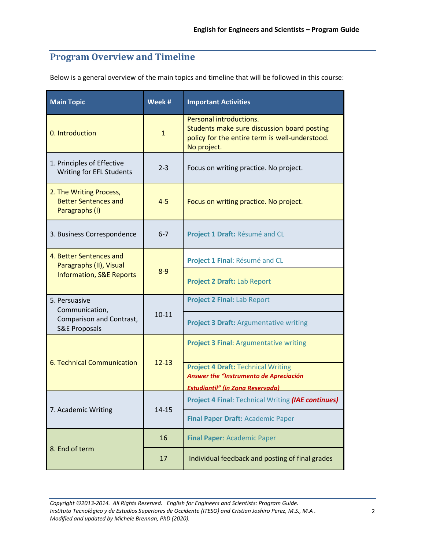# **Program Overview and Timeline**

Below is a general overview of the main topics and timeline that will be followed in this course:

| <b>Main Topic</b>                                                        | Week #       | <b>Important Activities</b>                                                                                                             |
|--------------------------------------------------------------------------|--------------|-----------------------------------------------------------------------------------------------------------------------------------------|
| 0. Introduction                                                          | $\mathbf{1}$ | Personal introductions.<br>Students make sure discussion board posting<br>policy for the entire term is well-understood.<br>No project. |
| 1. Principles of Effective<br>Writing for EFL Students                   | $2 - 3$      | Focus on writing practice. No project.                                                                                                  |
| 2. The Writing Process,<br><b>Better Sentences and</b><br>Paragraphs (I) | $4 - 5$      | Focus on writing practice. No project.                                                                                                  |
| 3. Business Correspondence                                               | $6 - 7$      | Project 1 Draft: Résumé and CL                                                                                                          |
| 4. Better Sentences and<br>Paragraphs (II), Visual                       |              | Project 1 Final: Résumé and CL                                                                                                          |
| <b>Information, S&amp;E Reports</b>                                      | $8 - 9$      | Project 2 Draft: Lab Report                                                                                                             |
| 5. Persuasive<br>Communication,                                          |              | <b>Project 2 Final: Lab Report</b>                                                                                                      |
| Comparison and Contrast,<br><b>S&amp;E Proposals</b>                     | $10 - 11$    | <b>Project 3 Draft: Argumentative writing</b>                                                                                           |
|                                                                          |              | <b>Project 3 Final: Argumentative writing</b>                                                                                           |
| 6. Technical Communication                                               | $12 - 13$    | <b>Project 4 Draft: Technical Writing</b><br>Answer the "Instrumento de Apreciación                                                     |
|                                                                          |              | <b>Estudiantil" (in Zona Reservada)</b>                                                                                                 |
|                                                                          |              | Project 4 Final: Technical Writing (IAE continues)                                                                                      |
| 7. Academic Writing                                                      | $14 - 15$    | Final Paper Draft: Academic Paper                                                                                                       |
|                                                                          | 16           | <b>Final Paper: Academic Paper</b>                                                                                                      |
| 8. End of term                                                           | 17           | Individual feedback and posting of final grades                                                                                         |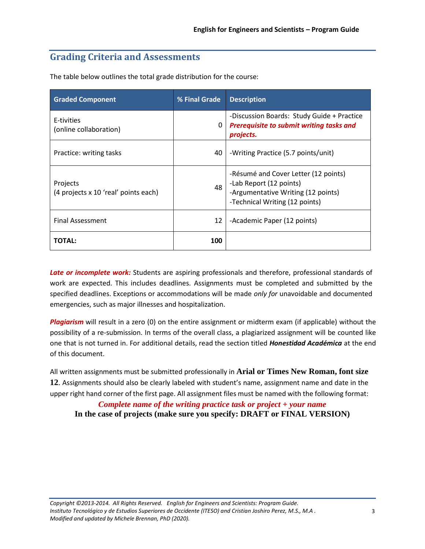# **Grading Criteria and Assessments**

| <b>Graded Component</b>                          | % Final Grade | <b>Description</b>                                                                                                                      |
|--------------------------------------------------|---------------|-----------------------------------------------------------------------------------------------------------------------------------------|
| E-tivities<br>(online collaboration)             | 0             | -Discussion Boards: Study Guide + Practice<br><b>Prerequisite to submit writing tasks and</b><br>projects.                              |
| Practice: writing tasks                          | 40            | -Writing Practice (5.7 points/unit)                                                                                                     |
| Projects<br>(4 projects x 10 'real' points each) | 48            | -Résumé and Cover Letter (12 points)<br>-Lab Report (12 points)<br>-Argumentative Writing (12 points)<br>-Technical Writing (12 points) |
| <b>Final Assessment</b>                          | 12            | -Academic Paper (12 points)                                                                                                             |
| <b>TOTAL:</b>                                    | 100           |                                                                                                                                         |

The table below outlines the total grade distribution for the course:

*Late or incomplete work:* Students are aspiring professionals and therefore, professional standards of work are expected. This includes deadlines. Assignments must be completed and submitted by the specified deadlines. Exceptions or accommodations will be made *only for* unavoidable and documented emergencies, such as major illnesses and hospitalization.

*Plagiarism* will result in a zero (0) on the entire assignment or midterm exam (if applicable) without the possibility of a re-submission. In terms of the overall class, a plagiarized assignment will be counted like one that is not turned in. For additional details, read the section titled *Honestidad Académica* at the end of this document.

All written assignments must be submitted professionally in **Arial or Times New Roman, font size 12**. Assignments should also be clearly labeled with student's name, assignment name and date in the upper right hand corner of the first page. All assignment files must be named with the following format:

*Complete name of the writing practice task or project + your name*

**In the case of projects (make sure you specify: DRAFT or FINAL VERSION)**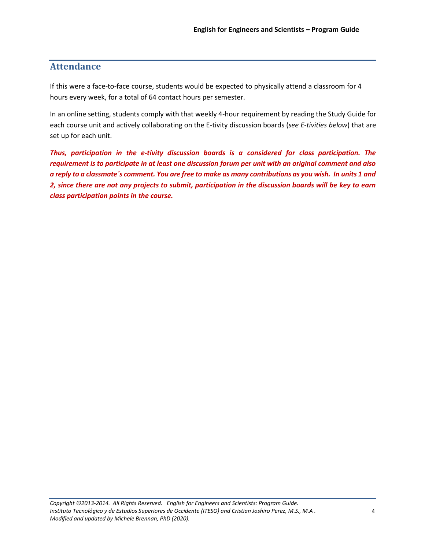# **Attendance**

If this were a face-to-face course, students would be expected to physically attend a classroom for 4 hours every week, for a total of 64 contact hours per semester.

In an online setting, students comply with that weekly 4-hour requirement by reading the Study Guide for each course unit and actively collaborating on the E-tivity discussion boards (*see E-tivities below*) that are set up for each unit.

*Thus, participation in the e-tivity discussion boards is a considered for class participation. The requirement is to participate in at least one discussion forum per unit with an original comment and also a reply to a classmate´s comment. You are free to make as many contributions as you wish. In units 1 and 2, since there are not any projects to submit, participation in the discussion boards will be key to earn class participation points in the course.*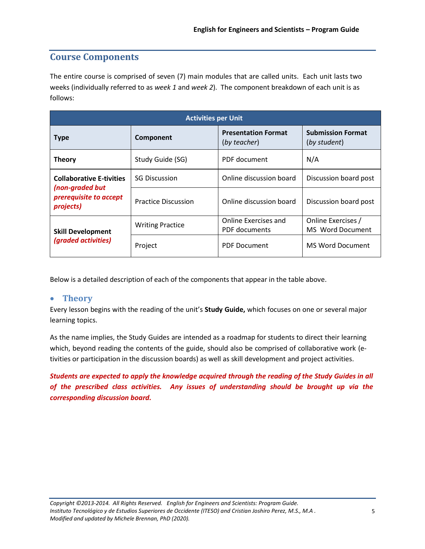## **Course Components**

The entire course is comprised of seven (7) main modules that are called units. Each unit lasts two weeks (individually referred to as *week 1* and *week 2*). The component breakdown of each unit is as follows:

| <b>Activities per Unit</b>                                                                |                            |                                            |                                          |  |  |  |  |  |  |
|-------------------------------------------------------------------------------------------|----------------------------|--------------------------------------------|------------------------------------------|--|--|--|--|--|--|
| <b>Type</b>                                                                               | Component                  | <b>Presentation Format</b><br>(by teacher) | <b>Submission Format</b><br>(by student) |  |  |  |  |  |  |
| <b>Theory</b>                                                                             | Study Guide (SG)           | PDF document                               | N/A                                      |  |  |  |  |  |  |
| <b>Collaborative E-tivities</b><br>(non-graded but<br>prerequisite to accept<br>projects) | <b>SG Discussion</b>       | Online discussion board                    | Discussion board post                    |  |  |  |  |  |  |
|                                                                                           | <b>Practice Discussion</b> | Online discussion board                    | Discussion board post                    |  |  |  |  |  |  |
| <b>Skill Development</b><br>(graded activities)                                           | <b>Writing Practice</b>    | Online Exercises and                       | Online Exercises /                       |  |  |  |  |  |  |
|                                                                                           |                            | PDF documents                              | MS Word Document                         |  |  |  |  |  |  |
|                                                                                           | Project                    | <b>PDF Document</b>                        | <b>MS Word Document</b>                  |  |  |  |  |  |  |

Below is a detailed description of each of the components that appear in the table above.

### • **Theory**

Every lesson begins with the reading of the unit's **Study Guide,** which focuses on one or several major learning topics.

As the name implies, the Study Guides are intended as a roadmap for students to direct their learning which, beyond reading the contents of the guide, should also be comprised of collaborative work (etivities or participation in the discussion boards) as well as skill development and project activities.

*Students are expected to apply the knowledge acquired through the reading of the Study Guides in all of the prescribed class activities. Any issues of understanding should be brought up via the corresponding discussion board.*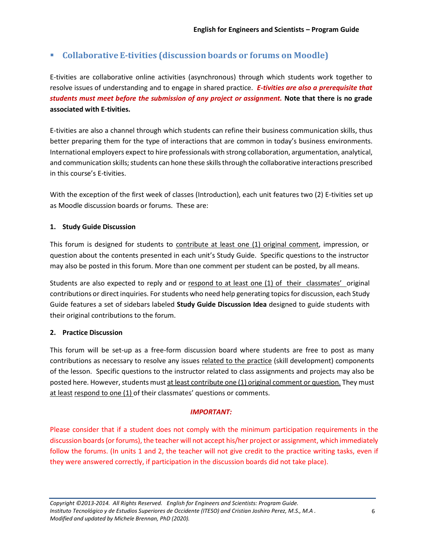## ▪ **Collaborative E-tivities (discussion boards or forums on Moodle)**

E-tivities are collaborative online activities (asynchronous) through which students work together to resolve issues of understanding and to engage in shared practice. *E-tivities are also a prerequisite that students must meet before the submission of any project or assignment.* **Note that there is no grade associated with E-tivities.**

E-tivities are also a channel through which students can refine their business communication skills, thus better preparing them for the type of interactions that are common in today's business environments. International employers expect to hire professionals with strong collaboration, argumentation, analytical, and communication skills; students can hone these skills through the collaborative interactions prescribed in this course's E-tivities.

With the exception of the first week of classes (Introduction), each unit features two (2) E-tivities set up as Moodle discussion boards or forums. These are:

#### **1. Study Guide Discussion**

This forum is designed for students to contribute at least one (1) original comment, impression, or question about the contents presented in each unit's Study Guide. Specific questions to the instructor may also be posted in this forum. More than one comment per student can be posted, by all means.

Students are also expected to reply and or respond to at least one (1) of their classmates' original contributions or direct inquiries. For students who need help generating topics for discussion, each Study Guide features a set of sidebars labeled **Study Guide Discussion Idea** designed to guide students with their original contributions to the forum.

#### **2. Practice Discussion**

This forum will be set-up as a free-form discussion board where students are free to post as many contributions as necessary to resolve any issues related to the practice (skill development) components of the lesson. Specific questions to the instructor related to class assignments and projects may also be posted here. However, students must at least contribute one (1) original comment or question. They must at least respond to one (1) of their classmates' questions or comments.

#### *IMPORTANT:*

Please consider that if a student does not comply with the minimum participation requirements in the discussion boards (or forums), the teacher will not accept his/her project or assignment, which immediately follow the forums. (In units 1 and 2, the teacher will not give credit to the practice writing tasks, even if they were answered correctly, if participation in the discussion boards did not take place).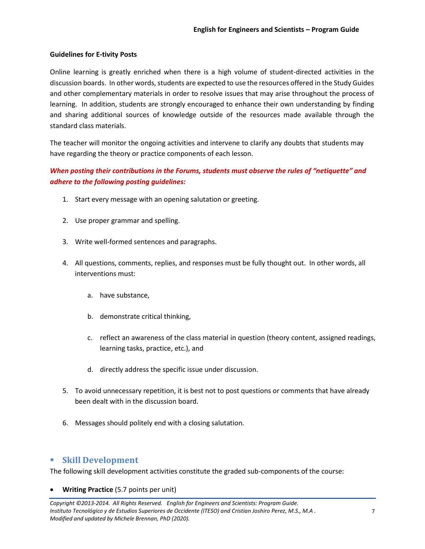#### **Guidelines for E-tivity Posts**

Online learning is greatly enriched when there is a high volume of student-directed activities in the discussion boards. In other words, students are expected to use the resources offered in the Study Guides and other complementary materials in order to resolve issues that may arise throughout the process of learning. In addition, students are strongly encouraged to enhance their own understanding by finding and sharing additional sources of knowledge outside of the resources made available through the standard class materials.

The teacher will monitor the ongoing activities and intervene to clarify any doubts that students may have regarding the theory or practice components of each lesson.

## *When posting their contributions in the Forums, students must observe the rules of "netiquette" and adhere to the following posting guidelines:*

- 1. Start every message with an opening salutation or greeting.
- 2. Use proper grammar and spelling.
- 3. Write well-formed sentences and paragraphs.
- 4. All questions, comments, replies, and responses must be fully thought out. In other words, all interventions must:
	- a. have substance,
	- b. demonstrate critical thinking,
	- c. reflect an awareness of the class material in question (theory content, assigned readings, learning tasks, practice, etc.), and
	- d. directly address the specific issue under discussion.
- 5. To avoid unnecessary repetition, it is best not to post questions or comments that have already been dealt with in the discussion board.
- 6. Messages should politely end with a closing salutation.

## ▪ **Skill Development**

The following skill development activities constitute the graded sub-components of the course:

• **Writing Practice** (5.7 points per unit)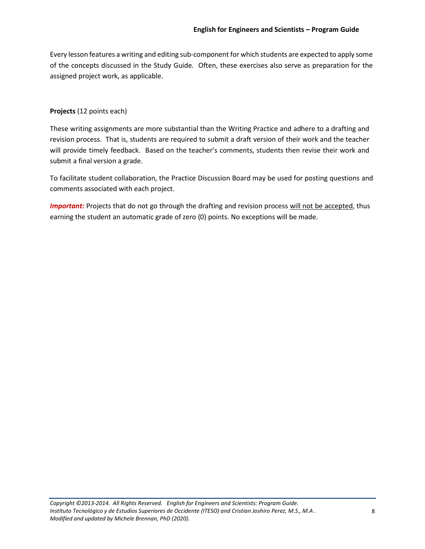Every lesson features a writing and editing sub-component for which students are expected to apply some of the concepts discussed in the Study Guide. Often, these exercises also serve as preparation for the assigned project work, as applicable.

#### **Projects** (12 points each)

These writing assignments are more substantial than the Writing Practice and adhere to a drafting and revision process. That is, students are required to submit a draft version of their work and the teacher will provide timely feedback. Based on the teacher's comments, students then revise their work and submit a final version a grade.

To facilitate student collaboration, the Practice Discussion Board may be used for posting questions and comments associated with each project.

*Important:* Projects that do not go through the drafting and revision process will not be accepted, thus earning the student an automatic grade of zero (0) points. No exceptions will be made.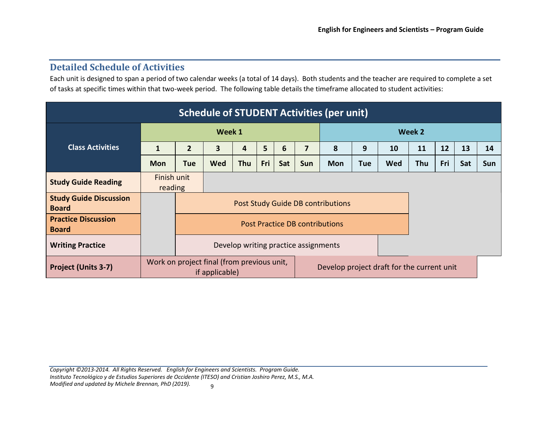## **Detailed Schedule of Activities**

Each unit is designed to span a period of two calendar weeks (a total of 14 days). Both students and the teacher are required to complete a set of tasks at specific times within that two-week period. The following table details the timeframe allocated to student activities:

| <b>Schedule of STUDENT Activities (per unit)</b> |                                |                                                                                                            |            |            |     |     |     |            |        |            |     |     |     |     |
|--------------------------------------------------|--------------------------------|------------------------------------------------------------------------------------------------------------|------------|------------|-----|-----|-----|------------|--------|------------|-----|-----|-----|-----|
|                                                  |                                | Week 1                                                                                                     |            |            |     |     |     |            | Week 2 |            |     |     |     |     |
| <b>Class Activities</b>                          | 1                              | $\overline{2}$                                                                                             | 3          | 4          | 5   | 6   | 7   | 8          | 9      | 10         | 11  | 12  | 13  | 14  |
|                                                  | <b>Mon</b>                     | Tue                                                                                                        | <b>Wed</b> | <b>Thu</b> | Fri | Sat | Sun | <b>Mon</b> | Tue    | <b>Wed</b> | Thu | Fri | Sat | Sun |
| <b>Study Guide Reading</b>                       | Finish unit<br>reading         |                                                                                                            |            |            |     |     |     |            |        |            |     |     |     |     |
| <b>Study Guide Discussion</b><br><b>Board</b>    |                                | <b>Post Study Guide DB contributions</b>                                                                   |            |            |     |     |     |            |        |            |     |     |     |     |
| <b>Practice Discussion</b><br><b>Board</b>       | Post Practice DB contributions |                                                                                                            |            |            |     |     |     |            |        |            |     |     |     |     |
| <b>Writing Practice</b>                          |                                | Develop writing practice assignments                                                                       |            |            |     |     |     |            |        |            |     |     |     |     |
| <b>Project (Units 3-7)</b>                       |                                | Work on project final (from previous unit,<br>Develop project draft for the current unit<br>if applicable) |            |            |     |     |     |            |        |            |     |     |     |     |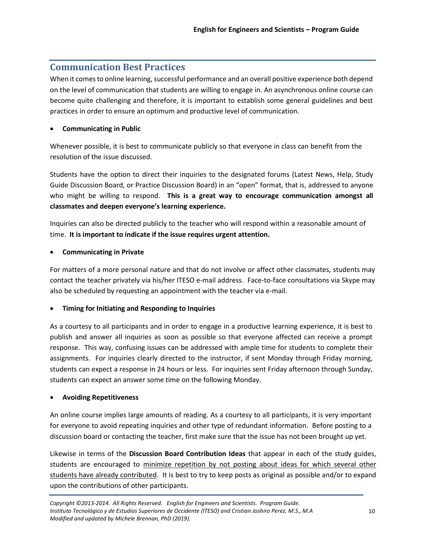## **Communication Best Practices**

When it comesto online learning, successful performance and an overall positive experience both depend on the level of communication that students are willing to engage in. An asynchronous online course can become quite challenging and therefore, it is important to establish some general guidelines and best practices in order to ensure an optimum and productive level of communication.

## • **Communicating in Public**

Whenever possible, it is best to communicate publicly so that everyone in class can benefit from the resolution of the issue discussed.

Students have the option to direct their inquiries to the designated forums (Latest News, Help, Study Guide Discussion Board, or Practice Discussion Board) in an "open" format, that is, addressed to anyone who might be willing to respond. **This is a great way to encourage communication amongst all classmates and deepen everyone's learning experience.**

Inquiries can also be directed publicly to the teacher who will respond within a reasonable amount of time. **It is important to indicate if the issue requires urgent attention.**

## • **Communicating in Private**

For matters of a more personal nature and that do not involve or affect other classmates, students may contact the teacher privately via his/her ITESO e-mail address. Face-to-face consultations via Skype may also be scheduled by requesting an appointment with the teacher via e-mail.

### • **Timing for Initiating and Responding to Inquiries**

As a courtesy to all participants and in order to engage in a productive learning experience, it is best to publish and answer all inquiries as soon as possible so that everyone affected can receive a prompt response. This way, confusing issues can be addressed with ample time for students to complete their assignments. For inquiries clearly directed to the instructor, if sent Monday through Friday morning, students can expect a response in 24 hours or less. For inquiries sent Friday afternoon through Sunday, students can expect an answer some time on the following Monday.

### • **Avoiding Repetitiveness**

An online course implies large amounts of reading. As a courtesy to all participants, it is very important for everyone to avoid repeating inquiries and other type of redundant information. Before posting to a discussion board or contacting the teacher, first make sure that the issue has not been brought up yet.

Likewise in terms of the **Discussion Board Contribution Ideas** that appear in each of the study guides, students are encouraged to minimize repetition by not posting about ideas for which several other students have already contributed. It is best to try to keep posts as original as possible and/or to expand upon the contributions of other participants.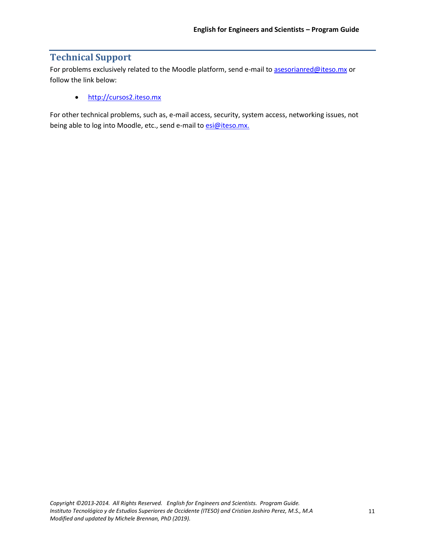## **Technical Support**

For problems exclusively related to the Moodle platform, send e-mail to [asesorianred@iteso.mx](mailto:asesorianred@iteso.mx) or follow the link below:

• [http://cursos2.iteso.mx](http://cursos2.iteso.mx/)

For other technical problems, such as, e-mail access, security, system access, networking issues, not being able to log into Moodle, etc., send e-mail to [esi@iteso.mx.](mailto:esi@iteso.mx.)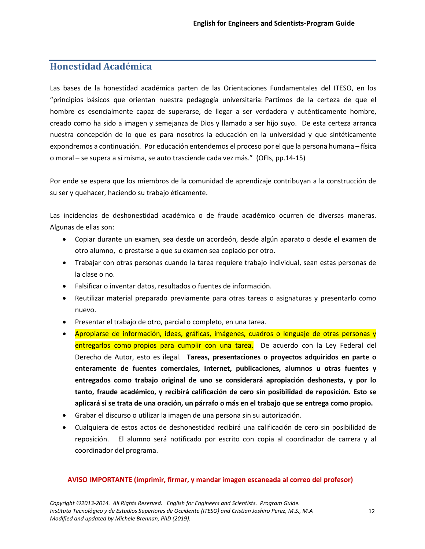# **Honestidad Académica**

Las bases de la honestidad académica parten de las Orientaciones Fundamentales del ITESO, en los "principios básicos que orientan nuestra pedagogía universitaria: Partimos de la certeza de que el hombre es esencialmente capaz de superarse, de llegar a ser verdadera y auténticamente hombre, creado como ha sido a imagen y semejanza de Dios y llamado a ser hijo suyo. De esta certeza arranca nuestra concepción de lo que es para nosotros la educación en la universidad y que sintéticamente expondremos a continuación. Por educación entendemos el proceso por el que la persona humana – física o moral – se supera a sí misma, se auto trasciende cada vez más." (OFIs, pp.14-15)

Por ende se espera que los miembros de la comunidad de aprendizaje contribuyan a la construcción de su ser y quehacer, haciendo su trabajo éticamente.

Las incidencias de deshonestidad académica o de fraude académico ocurren de diversas maneras. Algunas de ellas son:

- Copiar durante un examen, sea desde un acordeón, desde algún aparato o desde el examen de otro alumno, o prestarse a que su examen sea copiado por otro.
- Trabajar con otras personas cuando la tarea requiere trabajo individual, sean estas personas de la clase o no.
- Falsificar o inventar datos, resultados o fuentes de información.
- Reutilizar material preparado previamente para otras tareas o asignaturas y presentarlo como nuevo.
- Presentar el trabajo de otro, parcial o completo, en una tarea.
- Apropiarse de información, ideas, gráficas, imágenes, cuadros o lenguaje de otras personas y entregarlos como propios para cumplir con una tarea. De acuerdo con la Ley Federal del Derecho de Autor, esto es ilegal. **Tareas, presentaciones o proyectos adquiridos en parte o enteramente de fuentes comerciales, Internet, publicaciones, alumnos u otras fuentes y entregados como trabajo original de uno se considerará apropiación deshonesta, y por lo tanto, fraude académico, y recibirá calificación de cero sin posibilidad de reposición. Esto se aplicará si se trata de una oración, un párrafo o más en el trabajo que se entrega como propio.**
- Grabar el discurso o utilizar la imagen de una persona sin su autorización.
- Cualquiera de estos actos de deshonestidad recibirá una calificación de cero sin posibilidad de reposición. El alumno será notificado por escrito con copia al coordinador de carrera y al coordinador del programa.

#### **AVISO IMPORTANTE (imprimir, firmar, y mandar imagen escaneada al correo del profesor)**